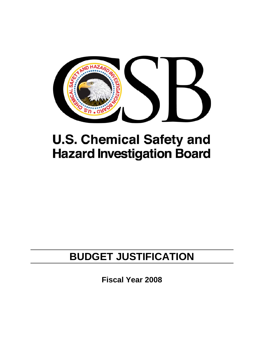

# **U.S. Chemical Safety and Hazard Investigation Board**

## **BUDGET JUSTIFICATION**

**Fiscal Year 2008**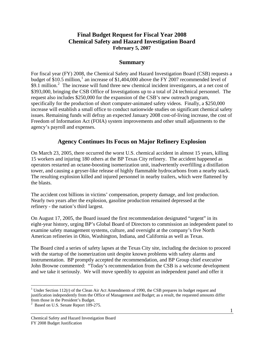## **Final Budget Request for Fiscal Year 2008 Chemical Safety and Hazard Investigation Board February 5, 2007**

## **Summary**

For fiscal year (FY) 2008, the Chemical Safety and Hazard Investigation Board (CSB) requests a budget of \$[1](#page-1-0)0.5 million,<sup>1</sup> an increase of \$1,404,000 above the FY 2007 recommended level of \$9.1 million.<sup>[2](#page-1-1)</sup> The increase will fund three new chemical incident investigators, at a net cost of \$393,000, bringing the CSB Office of Investigations up to a total of 24 technical personnel. The request also includes \$250,000 for the expansion of the CSB's new outreach program, specifically for the production of short computer-animated safety videos. Finally, a \$250,000 increase will establish a small office to conduct nationwide studies on significant chemical safety issues. Remaining funds will defray an expected January 2008 cost-of-living increase, the cost of Freedom of Information Act (FOIA) system improvements and other small adjustments to the agency's payroll and expenses.

## **Agency Continues Its Focus on Major Refinery Explosion**

On March 23, 2005, there occurred the worst U.S. chemical accident in almost 15 years, killing 15 workers and injuring 180 others at the BP Texas City refinery. The accident happened as operators restarted an octane-boosting isomerization unit, inadvertently overfilling a distillation tower, and causing a geyser-like release of highly flammable hydrocarbons from a nearby stack. The resulting explosion killed and injured personnel in nearby trailers, which were flattened by the blasts.

The accident cost billions in victims' compensation, property damage, and lost production. Nearly two years after the explosion, gasoline production remained depressed at the refinery - the nation's third largest.

On August 17, 2005, the Board issued the first recommendation designated "urgent" in its eight-year history, urging BP's Global Board of Directors to commission an independent panel to examine safety management systems, culture, and oversight at the company's five North American refineries in Ohio, Washington, Indiana, and California as well as Texas.

The Board cited a series of safety lapses at the Texas City site, including the decision to proceed with the startup of the isomerization unit despite known problems with safety alarms and instrumentation. BP promptly accepted the recommendation, and BP Group chief executive John Browne commented: "Today's recommendation from the CSB is a welcome development and we take it seriously. We will move speedily to appoint an independent panel and offer it

<span id="page-1-0"></span> $\overline{a}$ <sup>1</sup> Under Section 112(r) of the Clean Air Act Amendments of 1990, the CSB prepares its budget request and justification independently from the Office of Management and Budget; as a result, the requested amounts differ from those in the President's Budget. 2 Based on U.S. Senate Report 109-275.

<span id="page-1-1"></span>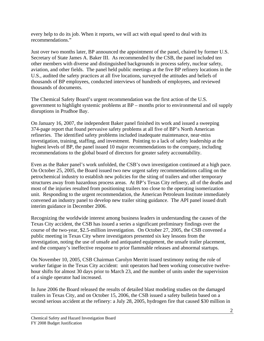every help to do its job. When it reports, we will act with equal speed to deal with its recommendations."

Just over two months later, BP announced the appointment of the panel, chaired by former U.S. Secretary of State James A. Baker III. As recommended by the CSB, the panel included ten other members with diverse and distinguished backgrounds in process safety, nuclear safety, aviation, and other fields. The panel held public meetings at the five BP refinery locations in the U.S., audited the safety practices at all five locations, surveyed the attitudes and beliefs of thousands of BP employees, conducted interviews of hundreds of employees, and reviewed thousands of documents.

The Chemical Safety Board's urgent recommendation was the first action of the U.S. government to highlight systemic problems at BP – months prior to environmental and oil supply disruptions in Prudhoe Bay.

On January 16, 2007, the independent Baker panel finished its work and issued a sweeping 374-page report that found pervasive safety problems at all five of BP's North American refineries. The identified safety problems included inadequate maintenance, near-miss investigation, training, staffing, and investment. Pointing to a lack of safety leadership at the highest levels of BP, the panel issued 10 major recommendations to the company, including recommendations to the global board of directors for greater safety accountability.

Even as the Baker panel's work unfolded, the CSB's own investigation continued at a high pace. On October 25, 2005, the Board issued two new urgent safety recommendations calling on the petrochemical industry to establish new policies for the siting of trailers and other temporary structures away from hazardous process areas. At BP's Texas City refinery, all of the deaths and most of the injuries resulted from positioning trailers too close to the operating isomerization unit. Responding to the urgent recommendation, the American Petroleum Institute immediately convened an industry panel to develop new trailer siting guidance. The API panel issued draft interim guidance in December 2006.

Recognizing the worldwide interest among business leaders in understanding the causes of the Texas City accident, the CSB has issued a series a significant preliminary findings over the course of the two-year, \$2.5-million investigation. On October 27, 2005, the CSB convened a public meeting in Texas City where investigators presented six key lessons from the investigation, noting the use of unsafe and antiquated equipment, the unsafe trailer placement, and the company's ineffective response to prior flammable releases and abnormal startups.

On November 10, 2005, CSB Chairman Carolyn Merritt issued testimony noting the role of worker fatigue in the Texas City accident: unit operators had been working consecutive twelvehour shifts for almost 30 days prior to March 23, and the number of units under the supervision of a single operator had increased.

In June 2006 the Board released the results of detailed blast modeling studies on the damaged trailers in Texas City, and on October 15, 2006, the CSB issued a safety bulletin based on a second serious accident at the refinery: a July 28, 2005, hydrogen fire that caused \$30 million in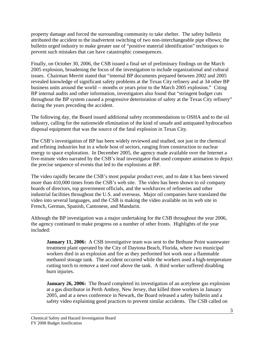property damage and forced the surrounding community to take shelter. The safety bulletin attributed the accident to the inadvertent switching of two non-interchangeable pipe elbows; the bulletin urged industry to make greater use of "positive material identification" techniques to prevent such mistakes that can have catastrophic consequences.

Finally, on October 30, 2006, the CSB issued a final set of preliminary findings on the March 2005 explosion, broadening the focus of the investigation to include organizational and cultural issues. Chairman Merritt stated that "internal BP documents prepared between 2002 and 2005 revealed knowledge of significant safety problems at the Texas City refinery and at 34 other BP business units around the world -- months or years prior to the March 2005 explosion." Citing BP internal audits and other information, investigators also found that "stringent budget cuts throughout the BP system caused a progressive deterioration of safety at the Texas City refinery" during the years preceding the accident.

The following day, the Board issued additional safety recommendations to OSHA and to the oil industry, calling for the nationwide elimination of the kind of unsafe and antiquated hydrocarbon disposal equipment that was the source of the fatal explosion in Texas City.

The CSB's investigation of BP has been widely reviewed and studied, not just in the chemical and refining industries but in a whole host of sectors, ranging from construction to nuclear energy to space exploration. In December 2005, the agency made available over the Internet a five-minute video narrated by the CSB's lead investigator that used computer animation to depict the precise sequence of events that led to the explosions at BP.

The video rapidly became the CSB's most popular product ever, and to date it has been viewed more than 410,000 times from the CSB's web site. The video has been shown to oil company boards of directors, top government officials, and the workforces of refineries and other industrial facilities throughout the U.S. and overseas. Major oil companies have translated the video into several languages, and the CSB is making the video available on its web site in French, German, Spanish, Cantonese, and Mandarin.

Although the BP investigation was a major undertaking for the CSB throughout the year 2006, the agency continued to make progress on a number of other fronts. Highlights of the year included:

**January 11, 2006:** A CSB investigative team was sent to the Bethune Point wastewater treatment plant operated by the City of Daytona Beach, Florida, where two municipal workers died in an explosion and fire as they performed hot work near a flammable methanol storage tank. The accident occurred while the workers used a high-temperature cutting torch to remove a steel roof above the tank. A third worker suffered disabling burn injuries.

**January 26, 2006:** The Board completed its investigation of an acetylene gas explosion at a gas distributor in Perth Amboy, New Jersey, that killed three workers in January 2005, and at a news conference in Newark, the Board released a safety bulletin and a safety video explaining good practices to prevent similar accidents. The CSB called on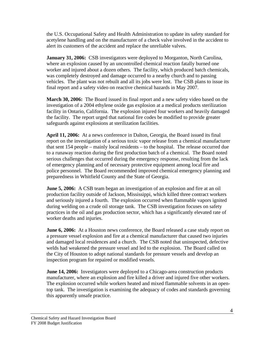the U.S. Occupational Safety and Health Administration to update its safety standard for acetylene handling and on the manufacturer of a check valve involved in the accident to alert its customers of the accident and replace the unreliable valves.

**January 31, 2006:** CSB investigators were deployed to Morganton, North Carolina, where an explosion caused by an uncontrolled chemical reaction fatally burned one worker and injured about a dozen others. The facility, which produced batch chemicals, was completely destroyed and damage occurred to a nearby church and to passing vehicles. The plant was not rebuilt and all its jobs were lost. The CSB plans to issue its final report and a safety video on reactive chemical hazards in May 2007.

**March 30, 2006:** The Board issued its final report and a new safety video based on the investigation of a 2004 ethylene oxide gas explosion at a medical products sterilization facility in Ontario, California. The explosion injured four workers and heavily damaged the facility. The report urged that national fire codes be modified to provide greater safeguards against explosions at sterilization facilities.

**April 11, 2006:** At a news conference in Dalton, Georgia, the Board issued its final report on the investigation of a serious toxic vapor release from a chemical manufacturer that sent 154 people – mainly local residents – to the hospital. The release occurred due to a runaway reaction during the first production batch of a chemical. The Board noted serious challenges that occurred during the emergency response, resulting from the lack of emergency planning and of necessary protective equipment among local fire and police personnel. The Board recommended improved chemical emergency planning and preparedness in Whitfield County and the State of Georgia.

**June 5, 2006:** A CSB team began an investigation of an explosion and fire at an oil production facility outside of Jackson, Mississippi, which killed three contract workers and seriously injured a fourth. The explosion occurred when flammable vapors ignited during welding on a crude oil storage tank. The CSB investigation focuses on safety practices in the oil and gas production sector, which has a significantly elevated rate of worker deaths and injuries.

**June 6, 2006:** At a Houston news conference, the Board released a case study report on a pressure vessel explosion and fire at a chemical manufacturer that caused two injuries and damaged local residences and a church. The CSB noted that uninspected, defective welds had weakened the pressure vessel and led to the explosion. The Board called on the City of Houston to adopt national standards for pressure vessels and develop an inspection program for repaired or modified vessels.

**June 14, 2006:** Investigators were deployed to a Chicago-area construction products manufacturer, where an explosion and fire killed a driver and injured five other workers. The explosion occurred while workers heated and mixed flammable solvents in an opentop tank. The investigation is examining the adequacy of codes and standards governing this apparently unsafe practice.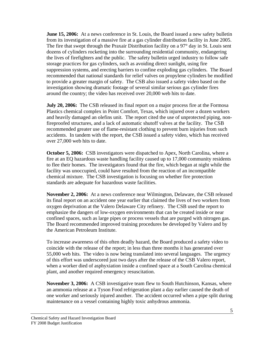**June 15, 2006:** At a news conference in St. Louis, the Board issued a new safety bulletin from its investigation of a massive fire at a gas cylinder distribution facility in June 2005. The fire that swept through the Praxair Distribution facility on a 97° day in St. Louis sent dozens of cylinders rocketing into the surrounding residential community, endangering the lives of firefighters and the public. The safety bulletin urged industry to follow safe storage practices for gas cylinders, such as avoiding direct sunlight, using fire suppression systems, and erecting barriers to confine exploding gas cylinders. The Board recommended that national standards for relief valves on propylene cylinders be modified to provide a greater margin of safety. The CSB also issued a safety video based on the investigation showing dramatic footage of several similar serious gas cylinder fires around the country; the video has received over 20,000 web hits to date.

**July 20, 2006:** The CSB released its final report on a major process fire at the Formosa Plastics chemical complex in Point Comfort, Texas, which injured over a dozen workers and heavily damaged an olefins unit. The report cited the use of unprotected piping, nonfireproofed structures, and a lack of automatic shutoff valves at the facility. The CSB recommended greater use of flame-resistant clothing to prevent burn injuries from such accidents. In tandem with the report, the CSB issued a safety video, which has received over 27,000 web hits to date.

**October 5, 2006:** CSB investigators were dispatched to Apex, North Carolina, where a fire at an EQ hazardous waste handling facility caused up to 17,000 community residents to flee their homes. The investigators found that the fire, which began at night while the facility was unoccupied, could have resulted from the reaction of an incompatible chemical mixture. The CSB investigation is focusing on whether fire protection standards are adequate for hazardous waste facilities.

**November 2, 2006:** At a news conference near Wilmington, Delaware, the CSB released its final report on an accident one year earlier that claimed the lives of two workers from oxygen deprivation at the Valero Delaware City refinery. The CSB used the report to emphasize the dangers of low-oxygen environments that can be created inside or near confined spaces, such as large pipes or process vessels that are purged with nitrogen gas. The Board recommended improved training procedures be developed by Valero and by the American Petroleum Institute.

To increase awareness of this often deadly hazard, the Board produced a safety video to coincide with the release of the report; in less than three months it has generated over 55,000 web hits. The video is now being translated into several languages. The urgency of this effort was underscored just two days after the release of the CSB Valero report, when a worker died of asphyxiation inside a confined space at a South Carolina chemical plant, and another required emergency resuscitation.

**November 3, 2006:** A CSB investigative team flew to South Hutchinson, Kansas, where an ammonia release at a Tyson Food refrigeration plant a day earlier caused the death of one worker and seriously injured another. The accident occurred when a pipe split during maintenance on a vessel containing highly toxic anhydrous ammonia.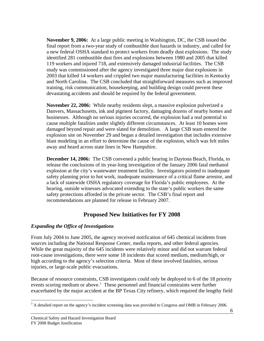**November 9, 2006:** At a large public meeting in Washington, DC, the CSB issued the final report from a two-year study of combustible dust hazards in industry, and called for a new federal OSHA standard to protect workers from deadly dust explosions. The study identified 281 combustible dust fires and explosions between 1980 and 2005 that killed 119 workers and injured 718, and extensively damaged industrial facilities. The CSB study was commissioned after the agency investigated three major dust explosions in 2003 that killed 14 workers and crippled two major manufacturing facilities in Kentucky and North Carolina. The CSB concluded that straightforward measures such as improved training, risk communication, housekeeping, and building design could prevent these devastating accidents and should be required by the federal government.

**November 22, 2006:** While nearby residents slept, a massive explosion pulverized a Danvers, Massachusetts, ink and pigment factory, damaging dozens of nearby homes and businesses. Although no serious injuries occurred, the explosion had a real potential to cause multiple fatalities under slightly different circumstances. At least 10 homes were damaged beyond repair and were slated for demolition. A large CSB team entered the explosion site on November 29 and began a detailed investigation that includes extensive blast modeling in an effort to determine the cause of the explosion, which was felt miles away and heard across state lines in New Hampshire.

**December 14, 2006:** The CSB convened a public hearing in Daytona Beach, Florida, to release the conclusions of its year-long investigation of the January 2006 fatal methanol explosion at the city's wastewater treatment facility. Investigators pointed to inadequate safety planning prior to hot work, inadequate maintenance of a critical flame arrestor, and a lack of statewide OSHA regulatory coverage for Florida's public employees. At the hearing, outside witnesses advocated extending to the state's public workers the same safety protections afforded in the private sector. The CSB's final report and recommendations are planned for release in February 2007.

## **Proposed New Initiatives for FY 2008**

## *Expanding the Office of Investigations*

From July 2004 to June 2005, the agency received notification of 645 chemical incidents from sources including the National Response Center, media reports, and other federal agencies. While the great majority of the 645 incidents were relatively minor and did not warrant federal root-cause investigations, there were some 18 incidents that scored medium, medium/high, or high according to the agency's selection criteria. Most of these involved fatalities, serious injuries, or large-scale public evacuations.

Because of resource constraints, CSB investigators could only be deployed to 6 of the 18 priority events scoring medium or above.<sup>3</sup> These personnel and financial constraints were further exacerbated by the major accident at the BP Texas City refinery, which required the lengthy field

<span id="page-6-0"></span> $\overline{a}$  $3$  A detailed report on the agency's incident screening data was provided to Congress and OMB in February 2006.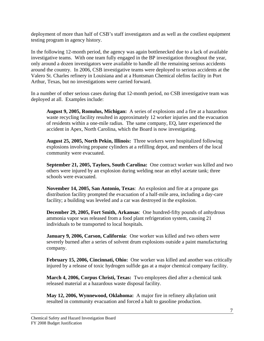deployment of more than half of CSB's staff investigators and as well as the costliest equipment testing program in agency history.

In the following 12-month period, the agency was again bottlenecked due to a lack of available investigative teams. With one team fully engaged in the BP investigation throughout the year, only around a dozen investigators were available to handle all the remaining serious accidents around the country. In 2006, CSB investigative teams were deployed to serious accidents at the Valero St. Charles refinery in Louisiana and at a Huntsman Chemical olefins facility in Port Arthur, Texas, but no investigations were carried forward.

In a number of other serious cases during that 12-month period, no CSB investigative team was deployed at all. Examples include:

**August 9, 2005, Romulus, Michigan:** A series of explosions and a fire at a hazardous waste recycling facility resulted in approximately 12 worker injuries and the evacuation of residents within a one-mile radius. The same company, EQ, later experienced the accident in Apex, North Carolina, which the Board is now investigating.

**August 25, 2005, North Pekin, Illinois:** Three workers were hospitalized following explosions involving propane cylinders at a refilling depot, and members of the local community were evacuated.

**September 21, 2005, Taylors, South Carolina:** One contract worker was killed and two others were injured by an explosion during welding near an ethyl acetate tank; three schools were evacuated.

**November 14, 2005, San Antonio, Texas**: An explosion and fire at a propane gas distribution facility prompted the evacuation of a half-mile area, including a day-care facility; a building was leveled and a car was destroyed in the explosion.

**December 29, 2005, Fort Smith, Arkansas**: One hundred-fifty pounds of anhydrous ammonia vapor was released from a food plant refrigeration system, causing 21 individuals to be transported to local hospitals.

**January 9, 2006, Carson, California**: One worker was killed and two others were severely burned after a series of solvent drum explosions outside a paint manufacturing company.

**February 15, 2006, Cincinnati, Ohio:** One worker was killed and another was critically injured by a release of toxic hydrogen sulfide gas at a major chemical company facility.

**March 4, 2006, Corpus Christi, Texas:** Two employees died after a chemical tank released material at a hazardous waste disposal facility.

**May 12, 2006, Wynnewood, Oklahoma:** A major fire in refinery alkylation unit resulted in community evacuation and forced a halt to gasoline production.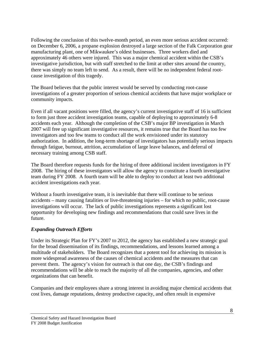Following the conclusion of this twelve-month period, an even more serious accident occurred: on December 6, 2006, a propane explosion destroyed a large section of the Falk Corporation gear manufacturing plant, one of Mikwaukee's oldest businesses. Three workers died and approximately 46 others were injured. This was a major chemical accident within the CSB's investigative jurisdiction, but with staff stretched to the limit at other sites around the country, there was simply no team left to send. As a result, there will be no independent federal rootcause investigation of this tragedy.

The Board believes that the public interest would be served by conducting root-cause investigations of a greater proportion of serious chemical accidents that have major workplace or community impacts.

Even if all vacant positions were filled, the agency's current investigative staff of 16 is sufficient to form just three accident investigation teams, capable of deploying to approximately 6-8 accidents each year. Although the completion of the CSB's major BP investigation in March 2007 will free up significant investigative resources, it remains true that the Board has too few investigators and too few teams to conduct all the work envisioned under its statutory authorization. In addition, the long-term shortage of investigators has potentially serious impacts through fatigue, burnout, attrition, accumulation of large leave balances, and deferral of necessary training among CSB staff.

The Board therefore requests funds for the hiring of three additional incident investigators in FY 2008. The hiring of these investigators will allow the agency to constitute a fourth investigative team during FY 2008. A fourth team will be able to deploy to conduct at least two additional accident investigations each year.

Without a fourth investigative team, it is inevitable that there will continue to be serious accidents – many causing fatalities or live-threatening injuries – for which no public, root-cause investigations will occur. The lack of public investigations represents a significant lost opportunity for developing new findings and recommendations that could save lives in the future.

## *Expanding Outreach Efforts*

Under its Strategic Plan for FY's 2007 to 2012, the agency has established a new strategic goal for the broad dissemination of its findings, recommendations, and lessons learned among a multitude of stakeholders. The Board recognizes that a potent tool for achieving its mission is more widespread awareness of the causes of chemical accidents and the measures that can prevent them. The agency's vision for outreach is that one day, the CSB's findings and recommendations will be able to reach the majority of all the companies, agencies, and other organizations that can benefit.

Companies and their employees share a strong interest in avoiding major chemical accidents that cost lives, damage reputations, destroy productive capacity, and often result in expensive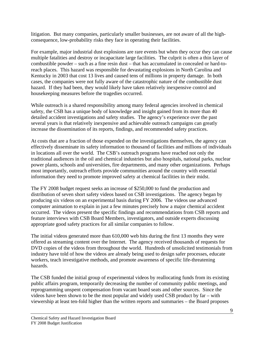litigation. But many companies, particularly smaller businesses, are not aware of all the highconsequence, low-probability risks they face in operating their facilities.

For example, major industrial dust explosions are rare events but when they occur they can cause multiple fatalities and destroy or incapacitate large facilities. The culprit is often a thin layer of combustible powder – such as a fine resin dust – that has accumulated in concealed or hard-toreach places. This hazard was responsible for devastating explosions in North Carolina and Kentucky in 2003 that cost 13 lives and caused tens of millions in property damage. In both cases, the companies were not fully aware of the catastrophic nature of the combustible dust hazard. If they had been, they would likely have taken relatively inexpensive control and housekeeping measures before the tragedies occurred.

While outreach is a shared responsibility among many federal agencies involved in chemical safety, the CSB has a unique body of knowledge and insight gained from its more than 40 detailed accident investigations and safety studies. The agency's experience over the past several years is that relatively inexpensive and achievable outreach campaigns can greatly increase the dissemination of its reports, findings, and recommended safety practices.

At costs that are a fraction of those expended on the investigations themselves, the agency can effectively disseminate its safety information to thousand of facilities and millions of individuals in locations all over the world. The CSB's outreach programs have reached not only the traditional audiences in the oil and chemical industries but also hospitals, national parks, nuclear power plants, schools and universities, fire departments, and many other organizations. Perhaps most importantly, outreach efforts provide communities around the country with essential information they need to promote improved safety at chemical facilities in their midst.

The FY 2008 budget request seeks an increase of \$250,000 to fund the production and distribution of seven short safety videos based on CSB investigations. The agency began by producing six videos on an experimental basis during FY 2006. The videos use advanced computer animation to explain in just a few minutes precisely how a major chemical accident occurred. The videos present the specific findings and recommendations from CSB reports and feature interviews with CSB Board Members, investigators, and outside experts discussing appropriate good safety practices for all similar companies to follow.

The initial videos generated more than 610,000 web hits during the first 13 months they were offered as streaming content over the Internet. The agency received thousands of requests for DVD copies of the videos from throughout the world. Hundreds of unsolicited testimonials from industry have told of how the videos are already being used to design safer processes, educate workers, teach investigative methods, and promote awareness of specific life-threatening hazards.

The CSB funded the initial group of experimental videos by reallocating funds from its existing public affairs program, temporarily decreasing the number of community public meetings, and reprogramming unspent compensation from vacant board seats and other sources. Since the videos have been shown to be the most popular and widely used CSB product by far – with viewership at least ten-fold higher than the written reports and summaries – the Board proposes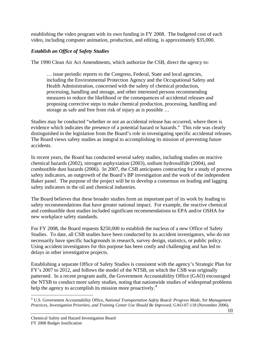establishing the video program with its own funding in FY 2008. The budgeted cost of each video, including computer animation, production, and editing, is approximately \$35,000.

## *Establish an Office of Safety Studies*

The 1990 Clean Air Act Amendments, which authorize the CSB, direct the agency to:

… issue periodic reports to the Congress, Federal, State and local agencies, including the Environmental Protection Agency and the Occupational Safety and Health Administration, concerned with the safety of chemical production, processing, handling and storage, and other interested persons recommending measures to reduce the likelihood or the consequences of accidental releases and proposing corrective steps to make chemical production, processing, handling and storage as safe and free from risk of injury as is possible …

Studies may be conducted "whether or not an accidental release has occurred, where there is evidence which indicates the presence of a potential hazard or hazards." This role was clearly distinguished in the legislation from the Board's role in investigating specific accidental releases. The Board views safety studies as integral to accomplishing its mission of preventing future accidents.

In recent years, the Board has conducted several safety studies, including studies on reactive chemical hazards (2002), nitrogen asphyxiation (2003), sodium hydrosulfide (2004), and combustible dust hazards (2006). In 2007, the CSB anticipates contracting for a study of process safety indicators, an outgrowth of the Board's BP investigation and the work of the independent Baker panel. The purpose of the project will be to develop a consensus on leading and lagging safety indicators in the oil and chemical industries.

The Board believes that these broader studies form an important part of its work by leading to safety recommendations that have greater national impact. For example, the reactive chemical and combustible dust studies included significant recommendations to EPA and/or OSHA for new workplace safety standards.

For FY 2008, the Board requests \$250,000 to establish the nucleus of a new Office of Safety Studies. To date, all CSB studies have been conducted by its accident investigators, who do not necessarily have specific backgrounds in research, survey design, statistics, or public policy. Using accident investigators for this purpose has been costly and challenging and has led to delays in other investigative projects.

Establishing a separate Office of Safety Studies is consistent with the agency's Strategic Plan for FY's 2007 to 2012, and follows the model of the NTSB, on which the CSB was originally patterned. In a recent program audit, the Government Accountability Office (GAO) encouraged the NTSB to conduct more safety studies, noting that nationwide studies of widespread problems help the agency to accomplish its mission more proactively.<sup>[4](#page-10-0)</sup>

<span id="page-10-0"></span> $\overline{a}$ <sup>4</sup> U.S. Government Accountability Office, *National Transportation Safety Board: Progress Made, Yet Management Practices, Investigation Priorities, and Training Center Use Should Be Improved*, GAO-07-118 (November 2006).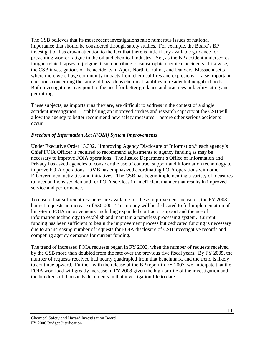The CSB believes that its most recent investigations raise numerous issues of national importance that should be considered through safety studies. For example, the Board's BP investigation has drawn attention to the fact that there is little if any available guidance for preventing worker fatigue in the oil and chemical industry. Yet, as the BP accident underscores, fatigue-related lapses in judgment can contribute to catastrophic chemical accidents. Likewise, the CSB investigations of the accidents in Apex, North Carolina, and Danvers, Massachusetts – where there were huge community impacts from chemical fires and explosions – raise important questions concerning the siting of hazardous chemical facilities in residential neighborhoods. Both investigations may point to the need for better guidance and practices in facility siting and permitting.

These subjects, as important as they are, are difficult to address in the context of a single accident investigation. Establishing an improved studies and research capacity at the CSB will allow the agency to better recommend new safety measures – before other serious accidents occur.

## *Freedom of Information Act (FOIA) System Improvements*

Under Executive Order 13,392, "Improving Agency Disclosure of Information," each agency's Chief FOIA Officer is required to recommend adjustments to agency funding as may be necessary to improve FOIA operations. The Justice Department's Office of Information and Privacy has asked agencies to consider the use of contract support and information technology to improve FOIA operations. OMB has emphasized coordinating FOIA operations with other E-Government activities and initiatives. The CSB has begun implementing a variety of measures to meet an increased demand for FOIA services in an efficient manner that results in improved service and performance.

To ensure that sufficient resources are available for these improvement measures, the FY 2008 budget requests an increase of \$30,000. This money will be dedicated to full implementation of long-term FOIA improvements, including expanded contractor support and the use of information technology to establish and maintain a paperless processing system. Current funding has been sufficient to begin the improvement process but dedicated funding is necessary due to an increasing number of requests for FOIA disclosure of CSB investigative records and competing agency demands for current funding.

The trend of increased FOIA requests began in FY 2003, when the number of requests received by the CSB more than doubled from the rate over the previous five fiscal years. By FY 2005, the number of requests received had nearly quadrupled from that benchmark, and the trend is likely to continue upward. Further, with the release of the BP report in FY 2007, we anticipate that the FOIA workload will greatly increase in FY 2008 given the high profile of the investigation and the hundreds of thousands documents in that investigation file to date.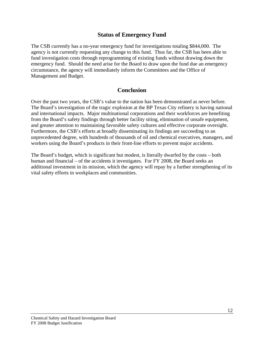## **Status of Emergency Fund**

The CSB currently has a no-year emergency fund for investigations totaling \$844,000. The agency is not currently requesting any change to this fund. Thus far, the CSB has been able to fund investigation costs through reprogramming of existing funds without drawing down the emergency fund. Should the need arise for the Board to draw upon the fund due an emergency circumstance, the agency will immediately inform the Committees and the Office of Management and Budget.

## **Conclusion**

Over the past two years, the CSB's value to the nation has been demonstrated as never before. The Board's investigation of the tragic explosion at the BP Texas City refinery is having national and international impacts. Major multinational corporations and their workforces are benefiting from the Board's safety findings through better facility siting, elimination of unsafe equipment, and greater attention to maintaining favorable safety cultures and effective corporate oversight. Furthermore, the CSB's efforts at broadly disseminating its findings are succeeding to an unprecedented degree, with hundreds of thousands of oil and chemical executives, managers, and workers using the Board's products in their front-line efforts to prevent major accidents.

The Board's budget, which is significant but modest, is literally dwarfed by the costs – both human and financial – of the accidents it investigates. For FY 2008, the Board seeks an additional investment in its mission, which the agency will repay by a further strengthening of its vital safety efforts in workplaces and communities.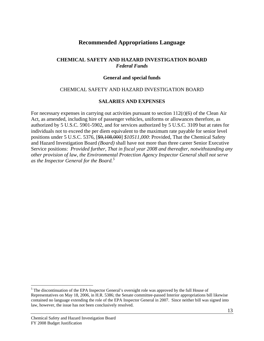## **Recommended Appropriations Language**

#### **CHEMICAL SAFETY AND HAZARD INVESTIGATION BOARD**  *Federal Funds*

#### **General and special funds**

#### CHEMICAL SAFETY AND HAZARD INVESTIGATION BOARD

#### **SALARIES AND EXPENSES**

For necessary expenses in carrying out activities pursuant to section  $112(r)(6)$  of the Clean Air Act, as amended, including hire of passenger vehicles, uniforms or allowances therefore, as authorized by 5 U.S.C. 5901-5902, and for services authorized by 5 U.S.C. 3109 but at rates for individuals not to exceed the per diem equivalent to the maximum rate payable for senior level positions under 5 U.S.C. 5376, [\$9,108,000] *\$10511,000*: Provided, That the Chemical Safety and Hazard Investigation Board *(Board)* shall have not more than three career Senior Executive Service positions: *Provided further, That in fiscal year 2008 and thereafter, notwithstanding any other provision of law, the Environmental Protection Agency Inspector General shall not serve as the Inspector General for the Board.[5](#page-13-0)*

 $\overline{a}$ 

<span id="page-13-0"></span><sup>&</sup>lt;sup>5</sup> The discontinuation of the EPA Inspector General's oversight role was approved by the full House of Representatives on May 18, 2006, in H.R. 5386; the Senate committee-passed Interior appropriations bill likewise contained no language extending the role of the EPA Inspector General in 2007. Since neither bill was signed into law, however, the issue has not been conclusively resolved.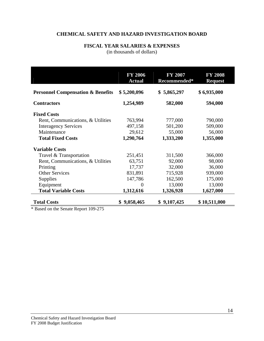## **CHEMICAL SAFETY AND HAZARD INVESTIGATION BOARD**

## **FISCAL YEAR SALARIES & EXPENSES**

(in thousands of dollars)

|                                              | <b>FY 2006</b><br><b>Actual</b> | <b>FY 2007</b><br>Recommended* | <b>FY 2008</b><br><b>Request</b> |
|----------------------------------------------|---------------------------------|--------------------------------|----------------------------------|
| <b>Personnel Compensation &amp; Benefits</b> | \$5,200,096                     | \$5,865,297                    | \$6,935,000                      |
| <b>Contractors</b>                           | 1,254,989                       | 582,000                        | 594,000                          |
| <b>Fixed Costs</b>                           |                                 |                                |                                  |
| Rent, Communications, & Utilities            | 763,994                         | 777,000                        | 790,000                          |
| <b>Interagency Services</b>                  | 497,158                         | 501,200                        | 509,000                          |
| Maintenance                                  | 29,612                          | 55,000                         | 56,000                           |
| <b>Total Fixed Costs</b>                     | 1,290,764                       | 1,333,200                      | 1,355,000                        |
| <b>Variable Costs</b>                        |                                 |                                |                                  |
| Travel & Transportation                      | 251,451                         | 311,500                        | 366,000                          |
| Rent, Communications, & Utilities            | 63,751                          | 92,000                         | 98,000                           |
| Printing                                     | 17,737                          | 32,000                         | 36,000                           |
| <b>Other Services</b>                        | 831,891                         | 715,928                        | 939,000                          |
| <b>Supplies</b>                              | 147,786                         | 162,500                        | 175,000                          |
| Equipment                                    | $\theta$                        | 13,000                         | 13,000                           |
| <b>Total Variable Costs</b>                  | 1,312,616                       | 1,326,928                      | 1,627,000                        |
| <b>Total Costs</b><br>$\sqrt{2}$<br>100.27   | \$9,058,465                     | \$9,107,425                    | \$10,511,000                     |

\* Based on the Senate Report 109-275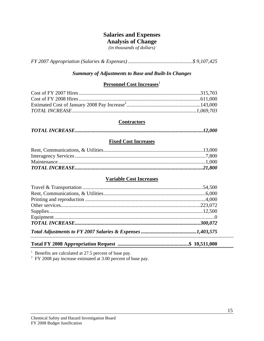## **Salaries and Expenses**

**Analysis of Change** 

*(in thousands of dollars)* 

*FY 2007 Appropriation (Salaries & Expenses) ..................................................\$ 9,107,425* 

#### *Summary of Adjustments to Base and Built-In Changes*

## **Personnel Cost Increases**<sup>1</sup>

#### **Contractors**

|--|

#### **Fixed Cost Increases**

#### **Variable Cost Increases**

## **Total FY 2008 Appropriation Request .......................................................\$ 10,511,000**

<sup>1</sup> Benefits are calculated at 27.5 percent of base pay.<br><sup>2</sup> FY 2008 pay increase estimated at 3.00 percent of base pay.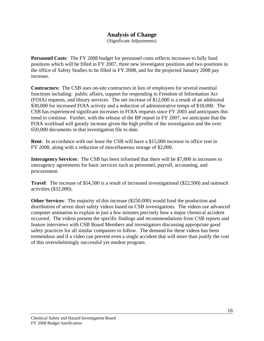## **Analysis of Change**

(Significant Adjustments)

**Personnel Costs**: The FY 2008 budget for personnel costs reflects increases to fully fund positions which will be filled in FY 2007, three new investigator positions and two positions in the office of Safety Studies to be filled in FY 2008, and for the projected January 2008 pay increase.

**Contractors:** The CSB uses on-site contractors in lieu of employees for several essential functions including: public affairs, support for responding to Freedom of Information Act (FOIA) requests, and library services. The net increase of \$12,000 is a result of an additional \$30,000 for increased FOIA activity and a reduction of administrative temps of \$18,000. The CSB has experienced significant increases in FOIA requests since FY 2003 and anticipates this trend to continue. Further, with the release of the BP report in FY 2007, we anticipate that the FOIA workload will greatly increase given the high profile of the investigation and the over 650,000 documents in that investigation file to date.

**Rent**: In accordance with our lease the CSB will have a \$15,000 increase in office rent in FY 2008, along with a reduction of miscellaneous storage of \$2,000.

**Interagency Services**: The CSB has been informed that there will be \$7,800 in increases to interagency agreements for basic services such as personnel, payroll, accounting, and procurement.

**Travel**: The increase of \$54,500 is a result of increased investigational (\$22,500) and outreach activities (\$32,000).

**Other Services**: The majority of this increase (\$250,000) would fund the production and distribution of seven short safety videos based on CSB investigations. The videos use advanced computer animation to explain in just a few minutes precisely how a major chemical accident occurred. The videos present the specific findings and recommendations from CSB reports and feature interviews with CSB Board Members and investigators discussing appropriate good safety practices for all similar companies to follow. The demand for these videos has been tremendous and if a video can prevent even a single accident that will more than justify the cost of this overwhelmingly successful yet modest program.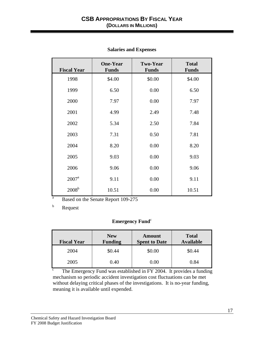| <b>Fiscal Year</b> | <b>One-Year</b><br><b>Funds</b> | <b>Two-Year</b><br><b>Funds</b> | <b>Total</b><br><b>Funds</b> |
|--------------------|---------------------------------|---------------------------------|------------------------------|
| 1998               | \$4.00                          | \$0.00                          | \$4.00                       |
| 1999               | 6.50                            | 0.00                            | 6.50                         |
| 2000               | 7.97                            | 0.00                            | 7.97                         |
| 2001               | 4.99                            | 2.49                            | 7.48                         |
| 2002               | 5.34                            | 2.50                            | 7.84                         |
| 2003               | 7.31                            | 0.50                            | 7.81                         |
| 2004               | 8.20                            | 0.00                            | 8.20                         |
| 2005               | 9.03                            | 0.00                            | 9.03                         |
| 2006               | 9.06                            | 0.00                            | 9.06                         |
| $2007^{\rm a}$     | 9.11                            | 0.00                            | 9.11                         |
| 2008 <sup>b</sup>  | 10.51                           | 0.00                            | 10.51                        |

#### **Salaries and Expenses**

a Based on the Senate Report 109-275

b Request

## **Emergency Fund**<sup>c</sup>

| <b>Fiscal Year</b> | <b>New</b><br><b>Funding</b> | Amount<br><b>Spent to Date</b> | <b>Total</b><br><b>Available</b> |
|--------------------|------------------------------|--------------------------------|----------------------------------|
| 2004               | \$0.44                       | \$0.00                         | \$0.44                           |
| 2005               | 0.40                         | $0.00\,$                       | 0.84                             |

c The Emergency Fund was established in FY 2004. It provides a funding mechanism so periodic accident investigation cost fluctuations can be met without delaying critical phases of the investigations. It is no-year funding, meaning it is available until expended.